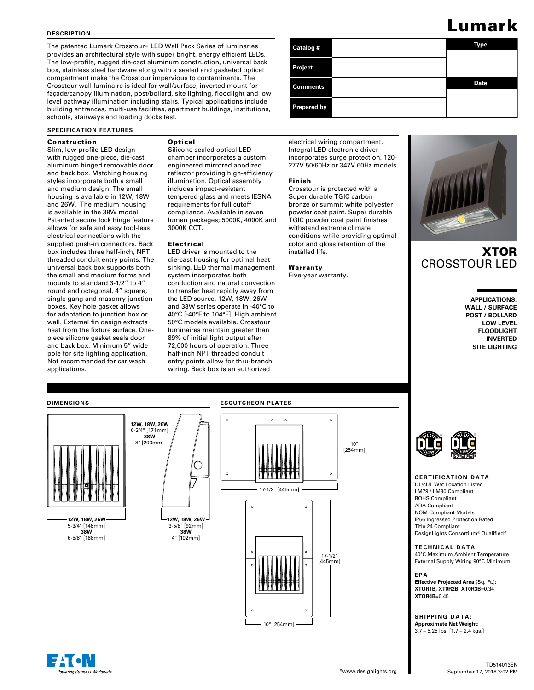#### **DESCRIPTION**

The patented Lumark Crosstour™ LED Wall Pack Series of luminaries provides an architectural style with super bright, energy efficient LEDs. The low-profile, rugged die-cast aluminum construction, universal back box, stainless steel hardware along with a sealed and gasketed optical compartment make the Crosstour impervious to contaminants. The Crosstour wall luminaire is ideal for wall/surface, inverted mount for façade/canopy illumination, post/bollard, site lighting, floodlight and low level pathway illumination including stairs. Typical applications include building entrances, multi-use facilities, apartment buildings, institutions, schools, stairways and loading docks test.

### **SPECIFICATION FEATURES**

#### Construction

#### Slim, low-profile LED design with rugged one-piece, die-cast aluminum hinged removable door and back box. Matching housing styles incorporate both a small and medium design. The small housing is available in 12W, 18W and 26W. The medium housing is available in the 38W model. Patented secure lock hinge feature allows for safe and easy tool-less electrical connections with the supplied push-in connectors. Back box includes three half-inch, NPT threaded conduit entry points. The universal back box supports both the small and medium forms and mounts to standard 3-1/2" to 4" round and octagonal, 4" square, single gang and masonry junction boxes. Key hole gasket allows for adaptation to junction box or wall. External fin design extracts heat from the fixture surface. Onepiece silicone gasket seals door and back box. Minimum 5" wide pole for site lighting application. Not recommended for car wash applications.

# Optical

Silicone sealed optical LED chamber incorporates a custom engineered mirrored anodized reflector providing high-efficiency illumination. Optical assembly includes impact-resistant tempered glass and meets IESNA requirements for full cutoff compliance. Available in seven lumen packages; 5000K, 4000K and 3000K CCT.

#### Electrical

LED driver is mounted to the die-cast housing for optimal heat sinking. LED thermal management system incorporates both conduction and natural convection to transfer heat rapidly away from the LED source. 12W, 18W, 26W and 38W series operate in -40°C to 40°C [-40°F to 104°F]. High ambient 50°C models available. Crosstour luminaires maintain greater than 89% of initial light output after 72,000 hours of operation. Three half-inch NPT threaded conduit entry points allow for thru-branch wiring. Back box is an authorized

**Catalog # Type Date Project Comments Prepared by**

electrical wiring compartment. Integral LED electronic driver incorporates surge protection. 120- 277V 50/60Hz or 347V 60Hz models.

#### Finish

Crosstour is protected with a Super durable TGIC carbon bronze or summit white polyester powder coat paint. Super durable TGIC powder coat paint finishes withstand extreme climate conditions while providing optimal color and gloss retention of the installed life.

Warranty Five-year warranty.



# XTOR CROSSTOUR LED

**APPLICATIONS: WALL / SURFACE POST / BOLLARD LOW LEVEL FLOODLIGHT INVERTED SITE LIGHTING**

#### **DIMENSIONS**

erina Business Worldwide



# **ESCUTCHEON PLATES**  $\circ$  $\circ$  $\alpha$  $\circ$ 10" [254mm]  $\circ$ 17-1/2" [445mm]  $\circ$  $\circ$



#### **CERTIFICATION DATA**

UL/cUL Wet Location Listed LM79 / LM80 Compliant ROHS Compliant ADA Compliant NOM Compliant Models IP66 Ingressed Protection Rated Title 24 Compliant DesignLights Consortium® Qualified\*

# **TECHNICAL DATA**

40°C Maximum Ambient Temperature External Supply Wiring 90°C Minimum

# **EPA**

**Effective Projected Area** (Sq. Ft.): **XTOR1B, XT0R2B, XT0R3B**=0.34 **XTOR4B**=0.45

**SHIPPING DATA: Approximate Net Weight:** 3.7 – 5.25 lbs. [1.7 – 2.4 kgs.]

# Lumark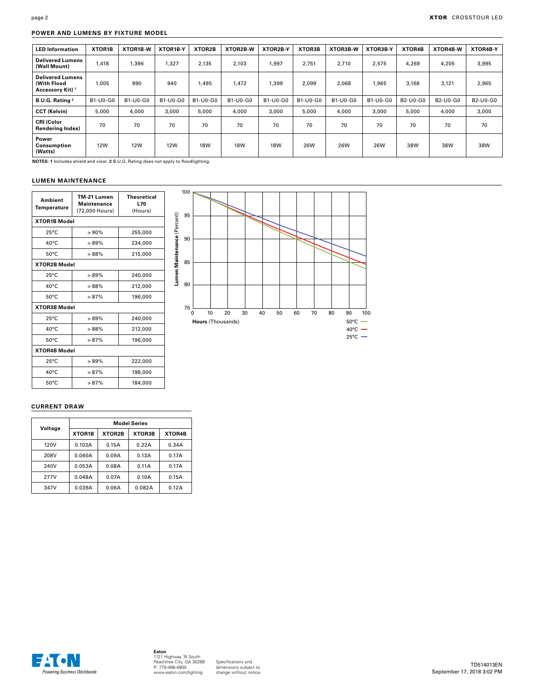## **POWER AND LUMENS BY FIXTURE MODEL**

| <b>LED Information</b>                                                | XTOR1B     | XTOR1B-W        | XTOR1B-Y   | XTOR2B     | XTOR2B-W   | XTOR2B-Y   | XTOR3B   | XTOR3B-W | XTOR3B-Y | XTOR4B   | XTOR4B-W | XTOR4B-Y |
|-----------------------------------------------------------------------|------------|-----------------|------------|------------|------------|------------|----------|----------|----------|----------|----------|----------|
| <b>Delivered Lumens</b><br>(Wall Mount)                               | 1,418      | 1.396           | 1.327      | 2,135      | 2.103      | 1.997      | 2.751    | 2,710    | 2.575    | 4,269    | 4,205    | 3,995    |
| <b>Delivered Lumens</b><br>(With Flood<br>Accessory Kit) <sup>1</sup> | 1.005      | 990             | 940        | 1.495      | 1.472      | 1.399      | 2.099    | 2,068    | 1,965    | 3.168    | 3,121    | 2,965    |
| B.U.G. Rating <sup>2</sup>                                            | B1-U0-G0   | <b>B1-U0-G0</b> | B1-U0-G0   | B1-U0-G0   | B1-U0-G0   | B1-U0-G0   | B1-U0-G0 | B1-U0-G0 | B1-U0-G0 | B2-U0-G0 | B2-U0-G0 | B2-U0-G0 |
| <b>CCT (Kelvin)</b>                                                   | 5.000      | 4.000           | 3.000      | 5,000      | 4.000      | 3.000      | 5,000    | 4.000    | 3.000    | 5.000    | 4.000    | 3,000    |
| <b>CRI (Color</b><br><b>Rendering Index)</b>                          | 70         | 70              | 70         | 70         | 70         | 70         | 70       | 70       | 70       | 70       | 70       | 70       |
| Power<br>Consumption<br>(Watts)                                       | <b>12W</b> | <b>12W</b>      | <b>12W</b> | <b>18W</b> | <b>18W</b> | <b>18W</b> | 26W      | 26W      | 26W      | 38W      | 38W      | 38W      |

**NOTES: 1** Includes shield and visor. **2** B.U.G. Rating does not apply to floodlighting.

#### **LUMEN MAINTENANCE**

| Ambient<br>Temperature | TM-21 Lumen<br><b>Maintenance</b><br>(72,000 Hours) | Theoretical<br>L70<br>(Hours) |  |  |  |  |  |
|------------------------|-----------------------------------------------------|-------------------------------|--|--|--|--|--|
| <b>XTOR1B Model</b>    |                                                     |                               |  |  |  |  |  |
| $25^{\circ}$ C         | >90%                                                | 255,000                       |  |  |  |  |  |
| $40^{\circ}$ C         | >89%                                                | 234,000                       |  |  |  |  |  |
| $50^{\circ}$ C         | >88%                                                | 215,000                       |  |  |  |  |  |
| <b>XTOR2B Model</b>    |                                                     |                               |  |  |  |  |  |
| $25^{\circ}$ C         | >89%                                                | 240,000                       |  |  |  |  |  |
| $40^{\circ}$ C         | >88%                                                | 212,000                       |  |  |  |  |  |
| $50^{\circ}$ C         | >87%                                                | 196,000                       |  |  |  |  |  |
| <b>XTOR3B Model</b>    |                                                     |                               |  |  |  |  |  |
| $25^{\circ}$ C         | >89%                                                | 240,000                       |  |  |  |  |  |
| $40^{\circ}$ C         | >88%                                                | 212,000                       |  |  |  |  |  |
| $50^{\circ}$ C         | >87%                                                | 196,000                       |  |  |  |  |  |
| <b>XTOR4B Model</b>    |                                                     |                               |  |  |  |  |  |
| $25^{\circ}$ C         | >89%                                                | 222,000                       |  |  |  |  |  |
| $40^{\circ}$ C         | >87%                                                | 198,000                       |  |  |  |  |  |
| $50^{\circ}$ C         | >87%                                                | 184,000                       |  |  |  |  |  |



## **CURRENT DRAW**

|         | <b>Model Series</b> |        |        |        |  |  |  |
|---------|---------------------|--------|--------|--------|--|--|--|
| Voltage | XTOR1B              | XTOR2B | XTOR3B | XTOR4B |  |  |  |
| 120V    | 0.103A              | 0.15A  | 0.22A  | 0.34A  |  |  |  |
| 208V    | 0.060A              | 0.09A  | 0.13A  | 0.17A  |  |  |  |
| 240V    | 0.053A              | 0.08A  | 0.11A  | 0.17A  |  |  |  |
| 277V    | 0.048A              | 0.07A  | 0.10A  | 0.15A  |  |  |  |
| 347V    | 0.039A              | 0.06A  | 0.082A | 0.12A  |  |  |  |